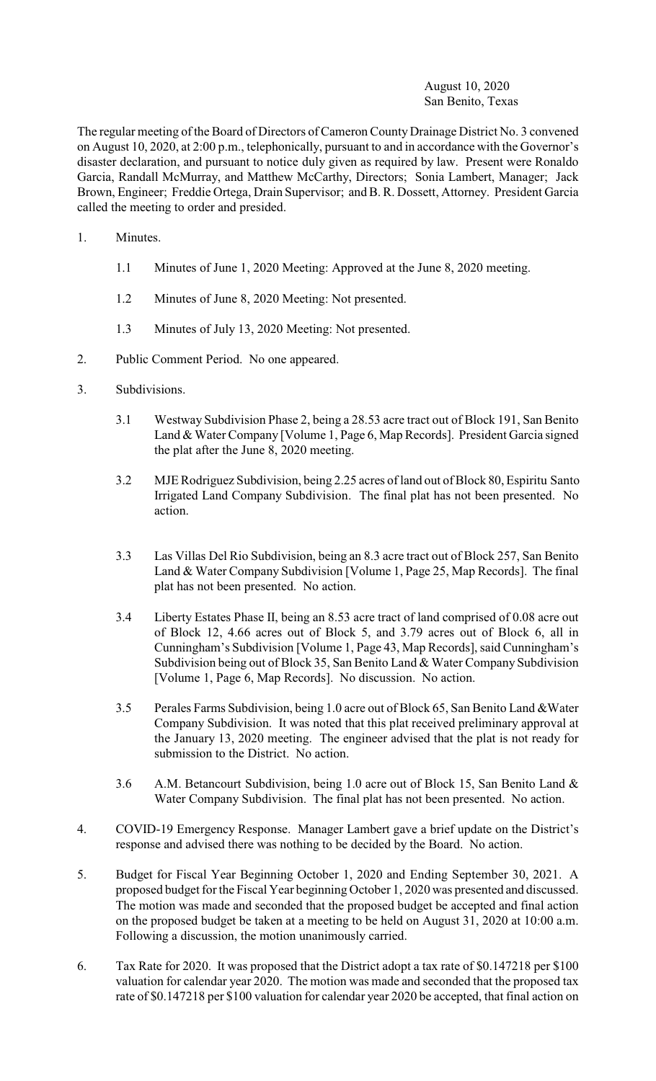## August 10, 2020 San Benito, Texas

The regular meeting of the Board of Directors of Cameron County Drainage District No. 3 convened on August 10, 2020, at 2:00 p.m., telephonically, pursuant to and in accordance with the Governor's disaster declaration, and pursuant to notice duly given as required by law. Present were Ronaldo Garcia, Randall McMurray, and Matthew McCarthy, Directors; Sonia Lambert, Manager; Jack Brown, Engineer; Freddie Ortega, Drain Supervisor; and B. R. Dossett, Attorney. President Garcia called the meeting to order and presided.

- 1. Minutes.
	- 1.1 Minutes of June 1, 2020 Meeting: Approved at the June 8, 2020 meeting.
	- 1.2 Minutes of June 8, 2020 Meeting: Not presented.
	- 1.3 Minutes of July 13, 2020 Meeting: Not presented.
- 2. Public Comment Period. No one appeared.
- 3. Subdivisions.
	- 3.1 Westway Subdivision Phase 2, being a 28.53 acre tract out of Block 191, San Benito Land & Water Company [Volume 1, Page 6, Map Records]. President Garcia signed the plat after the June 8, 2020 meeting.
	- 3.2 MJE Rodriguez Subdivision, being 2.25 acres of land out of Block 80, Espiritu Santo Irrigated Land Company Subdivision. The final plat has not been presented. No action.
	- 3.3 Las Villas Del Rio Subdivision, being an 8.3 acre tract out of Block 257, San Benito Land & Water Company Subdivision [Volume 1, Page 25, Map Records]. The final plat has not been presented. No action.
	- 3.4 Liberty Estates Phase II, being an 8.53 acre tract of land comprised of 0.08 acre out of Block 12, 4.66 acres out of Block 5, and 3.79 acres out of Block 6, all in Cunningham's Subdivision [Volume 1, Page 43, Map Records], said Cunningham's Subdivision being out of Block 35, San Benito Land & Water Company Subdivision [Volume 1, Page 6, Map Records]. No discussion. No action.
	- 3.5 Perales Farms Subdivision, being 1.0 acre out of Block 65, San Benito Land &Water Company Subdivision. It was noted that this plat received preliminary approval at the January 13, 2020 meeting. The engineer advised that the plat is not ready for submission to the District. No action.
	- 3.6 A.M. Betancourt Subdivision, being 1.0 acre out of Block 15, San Benito Land & Water Company Subdivision. The final plat has not been presented. No action.
- 4. COVID-19 Emergency Response. Manager Lambert gave a brief update on the District's response and advised there was nothing to be decided by the Board. No action.
- 5. Budget for Fiscal Year Beginning October 1, 2020 and Ending September 30, 2021. A proposed budget for the Fiscal Year beginning October 1, 2020 was presented and discussed. The motion was made and seconded that the proposed budget be accepted and final action on the proposed budget be taken at a meeting to be held on August 31, 2020 at 10:00 a.m. Following a discussion, the motion unanimously carried.
- 6. Tax Rate for 2020. It was proposed that the District adopt a tax rate of \$0.147218 per \$100 valuation for calendar year 2020. The motion was made and seconded that the proposed tax rate of \$0.147218 per \$100 valuation for calendar year 2020 be accepted, that final action on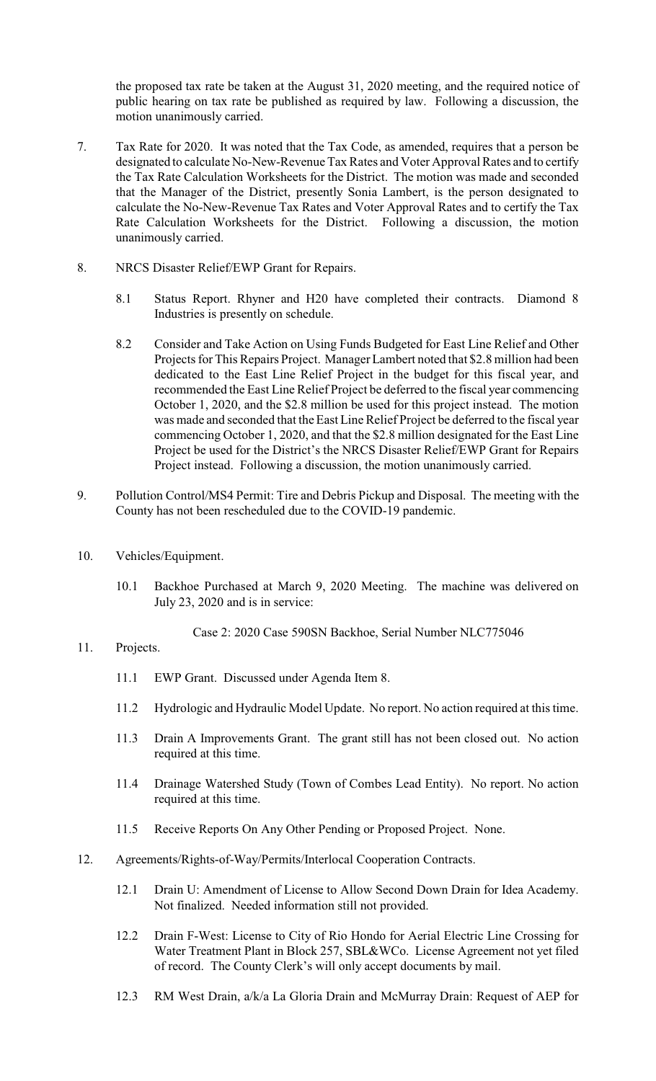the proposed tax rate be taken at the August 31, 2020 meeting, and the required notice of public hearing on tax rate be published as required by law. Following a discussion, the motion unanimously carried.

- 7. Tax Rate for 2020. It was noted that the Tax Code, as amended, requires that a person be designated to calculate No-New-Revenue Tax Rates and Voter Approval Rates and to certify the Tax Rate Calculation Worksheets for the District. The motion was made and seconded that the Manager of the District, presently Sonia Lambert, is the person designated to calculate the No-New-Revenue Tax Rates and Voter Approval Rates and to certify the Tax Rate Calculation Worksheets for the District. Following a discussion, the motion unanimously carried.
- 8. NRCS Disaster Relief/EWP Grant for Repairs.
	- 8.1 Status Report. Rhyner and H20 have completed their contracts. Diamond 8 Industries is presently on schedule.
	- 8.2 Consider and Take Action on Using Funds Budgeted for East Line Relief and Other Projects for This Repairs Project. Manager Lambert noted that \$2.8 million had been dedicated to the East Line Relief Project in the budget for this fiscal year, and recommended the East Line Relief Project be deferred to the fiscal year commencing October 1, 2020, and the \$2.8 million be used for this project instead. The motion was made and seconded that the East Line Relief Project be deferred to the fiscal year commencing October 1, 2020, and that the \$2.8 million designated for the East Line Project be used for the District's the NRCS Disaster Relief/EWP Grant for Repairs Project instead. Following a discussion, the motion unanimously carried.
- 9. Pollution Control/MS4 Permit: Tire and Debris Pickup and Disposal. The meeting with the County has not been rescheduled due to the COVID-19 pandemic.
- 10. Vehicles/Equipment.
	- 10.1 Backhoe Purchased at March 9, 2020 Meeting. The machine was delivered on July 23, 2020 and is in service:

Case 2: 2020 Case 590SN Backhoe, Serial Number NLC775046

## 11. Projects.

- 11.1 EWP Grant. Discussed under Agenda Item 8.
- 11.2 Hydrologic and Hydraulic Model Update. No report. No action required at this time.
- 11.3 Drain A Improvements Grant. The grant still has not been closed out. No action required at this time.
- 11.4 Drainage Watershed Study (Town of Combes Lead Entity). No report. No action required at this time.
- 11.5 Receive Reports On Any Other Pending or Proposed Project. None.
- 12. Agreements/Rights-of-Way/Permits/Interlocal Cooperation Contracts.
	- 12.1 Drain U: Amendment of License to Allow Second Down Drain for Idea Academy. Not finalized. Needed information still not provided.
	- 12.2 Drain F-West: License to City of Rio Hondo for Aerial Electric Line Crossing for Water Treatment Plant in Block 257, SBL&WCo. License Agreement not yet filed of record. The County Clerk's will only accept documents by mail.
	- 12.3 RM West Drain, a/k/a La Gloria Drain and McMurray Drain: Request of AEP for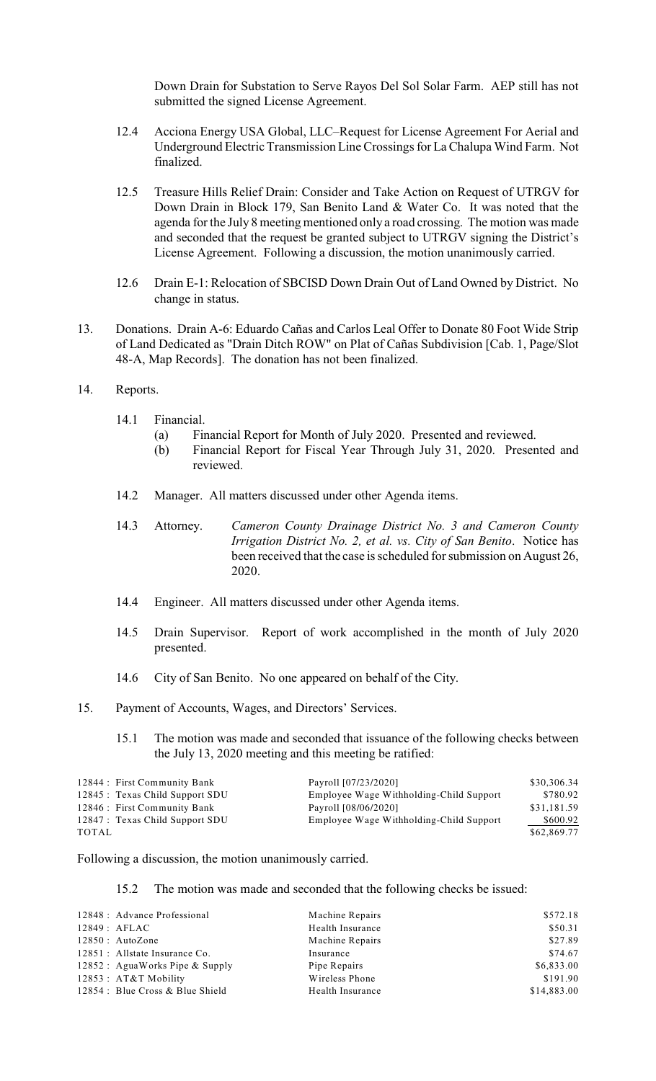Down Drain for Substation to Serve Rayos Del Sol Solar Farm. AEP still has not submitted the signed License Agreement.

- 12.4 Acciona Energy USA Global, LLC–Request for License Agreement For Aerial and Underground Electric Transmission Line Crossings for La Chalupa Wind Farm. Not finalized.
- 12.5 Treasure Hills Relief Drain: Consider and Take Action on Request of UTRGV for Down Drain in Block 179, San Benito Land & Water Co. It was noted that the agenda for the July 8 meeting mentioned only a road crossing. The motion was made and seconded that the request be granted subject to UTRGV signing the District's License Agreement. Following a discussion, the motion unanimously carried.
- 12.6 Drain E-1: Relocation of SBCISD Down Drain Out of Land Owned by District. No change in status.
- 13. Donations. Drain A-6: Eduardo Cañas and Carlos Leal Offer to Donate 80 Foot Wide Strip of Land Dedicated as "Drain Ditch ROW" on Plat of Cañas Subdivision [Cab. 1, Page/Slot 48-A, Map Records]. The donation has not been finalized.
- 14. Reports.
	- 14.1 Financial.
		- (a) Financial Report for Month of July 2020. Presented and reviewed.
		- (b) Financial Report for Fiscal Year Through July 31, 2020. Presented and reviewed.
	- 14.2 Manager. All matters discussed under other Agenda items.
	- 14.3 Attorney. *Cameron County Drainage District No. 3 and Cameron County Irrigation District No. 2, et al. vs. City of San Benito*. Notice has been received that the case is scheduled for submission on August 26, 2020.
	- 14.4 Engineer. All matters discussed under other Agenda items.
	- 14.5 Drain Supervisor. Report of work accomplished in the month of July 2020 presented.
	- 14.6 City of San Benito. No one appeared on behalf of the City.
- 15. Payment of Accounts, Wages, and Directors' Services.
	- 15.1 The motion was made and seconded that issuance of the following checks between the July 13, 2020 meeting and this meeting be ratified:

| 12844 : First Community Bank    | Payroll [07/23/2020]                    | \$30,306.34 |
|---------------------------------|-----------------------------------------|-------------|
| 12845 : Texas Child Support SDU | Employee Wage Withholding-Child Support | \$780.92    |
| 12846 : First Community Bank    | Payroll [08/06/2020]                    | \$31,181.59 |
| 12847 : Texas Child Support SDU | Employee Wage Withholding-Child Support | \$600.92    |
| TOTAL                           |                                         | \$62,869.77 |

Following a discussion, the motion unanimously carried.

15.2 The motion was made and seconded that the following checks be issued:

| 12848 : Advance Professional     | Machine Repairs  | \$572.18    |
|----------------------------------|------------------|-------------|
| 12849: AFLAC                     | Health Insurance | \$50.31     |
| $12850$ : AutoZone               | Machine Repairs  | \$27.89     |
| 12851 : Allstate Insurance Co.   | Insurance        | \$74.67     |
| 12852 : AguaWorks Pipe & Supply  | Pipe Repairs     | \$6,833.00  |
| $12853$ : $AT&T$ Mobility        | Wireless Phone   | \$191.90    |
| 12854 : Blue Cross & Blue Shield | Health Insurance | \$14,883.00 |